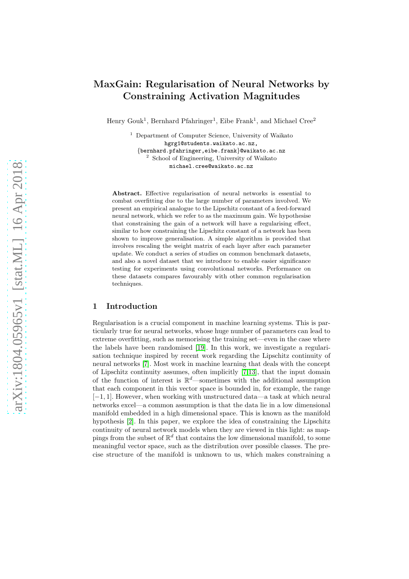# MaxGain: Regularisation of Neural Networks by Constraining Activation Magnitudes

Henry Gouk<sup>1</sup>, Bernhard Pfahringer<sup>1</sup>, Eibe Frank<sup>1</sup>, and Michael Cree<sup>2</sup>

<sup>1</sup> Department of Computer Science, University of Waikato hgrg1@students.waikato.ac.nz, {bernhard.pfahringer,eibe.frank}@waikato.ac.nz 2 School of Engineering, University of Waikato michael.cree@waikato.ac.nz

Abstract. Effective regularisation of neural networks is essential to combat overfitting due to the large number of parameters involved. We present an empirical analogue to the Lipschitz constant of a feed-forward neural network, which we refer to as the maximum gain. We hypothesise that constraining the gain of a network will have a regularising effect, similar to how constraining the Lipschitz constant of a network has been shown to improve generalisation. A simple algorithm is provided that involves rescaling the weight matrix of each layer after each parameter update. We conduct a series of studies on common benchmark datasets, and also a novel dataset that we introduce to enable easier significance testing for experiments using convolutional networks. Performance on these datasets compares favourably with other common regularisation techniques.

## 1 Introduction

Regularisation is a crucial component in machine learning systems. This is particularly true for neural networks, whose huge number of parameters can lead to extreme overfitting, such as memorising the training set—even in the case where the labels have been randomised [\[19\]](#page-15-0). In this work, we investigate a regularisation technique inspired by recent work regarding the Lipschitz continuity of neural networks [\[7\]](#page-15-1). Most work in machine learning that deals with the concept of Lipschitz continuity assumes, often implicitly [\[7](#page-15-1)[,13\]](#page-15-2), that the input domain of the function of interest is  $\mathbb{R}^d$ —sometimes with the additional assumption that each component in this vector space is bounded in, for example, the range [−1, 1]. However, when working with unstructured data—a task at which neural networks excel—a common assumption is that the data lie in a low dimensional manifold embedded in a high dimensional space. This is known as the manifold hypothesis [\[2\]](#page-14-0). In this paper, we explore the idea of constraining the Lipschitz continuity of neural network models when they are viewed in this light: as mappings from the subset of  $\mathbb{R}^d$  that contains the low dimensional manifold, to some meaningful vector space, such as the distribution over possible classes. The precise structure of the manifold is unknown to us, which makes constraining a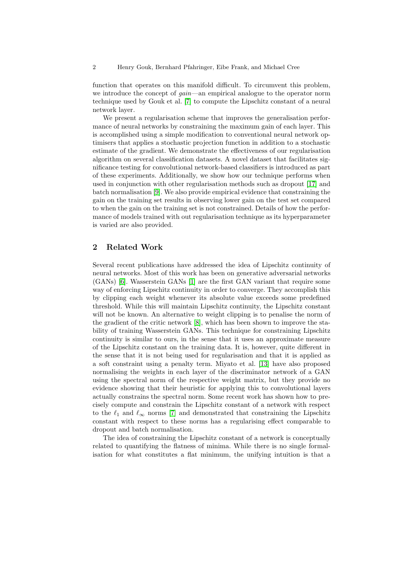function that operates on this manifold difficult. To circumvent this problem, we introduce the concept of *gain*—an empirical analogue to the operator norm technique used by Gouk et al. [\[7\]](#page-15-1) to compute the Lipschitz constant of a neural network layer.

We present a regularisation scheme that improves the generalisation performance of neural networks by constraining the maximum gain of each layer. This is accomplished using a simple modification to conventional neural network optimisers that applies a stochastic projection function in addition to a stochastic estimate of the gradient. We demonstrate the effectiveness of our regularisation algorithm on several classification datasets. A novel dataset that facilitates significance testing for convolutional network-based classifiers is introduced as part of these experiments. Additionally, we show how our technique performs when used in conjunction with other regularisation methods such as dropout [\[17\]](#page-15-3) and batch normalisation [\[9\]](#page-15-4). We also provide empirical evidence that constraining the gain on the training set results in observing lower gain on the test set compared to when the gain on the training set is not constrained. Details of how the performance of models trained with out regularisation technique as its hyperparameter is varied are also provided.

# 2 Related Work

Several recent publications have addressed the idea of Lipschitz continuity of neural networks. Most of this work has been on generative adversarial networks (GANs) [\[6\]](#page-15-5). Wasserstein GANs [\[1\]](#page-14-1) are the first GAN variant that require some way of enforcing Lipschitz continuity in order to converge. They accomplish this by clipping each weight whenever its absolute value exceeds some predefined threshold. While this will maintain Lipschitz continuity, the Lipschitz constant will not be known. An alternative to weight clipping is to penalise the norm of the gradient of the critic network [\[8\]](#page-15-6), which has been shown to improve the stability of training Wasserstein GANs. This technique for constraining Lipschitz continuity is similar to ours, in the sense that it uses an approximate measure of the Lipschitz constant on the training data. It is, however, quite different in the sense that it is not being used for regularisation and that it is applied as a soft constraint using a penalty term. Miyato et al. [\[13\]](#page-15-2) have also proposed normalising the weights in each layer of the discriminator network of a GAN using the spectral norm of the respective weight matrix, but they provide no evidence showing that their heuristic for applying this to convolutional layers actually constrains the spectral norm. Some recent work has shown how to precisely compute and constrain the Lipschitz constant of a network with respect to the  $\ell_1$  and  $\ell_{\infty}$  norms [\[7\]](#page-15-1) and demonstrated that constraining the Lipschitz constant with respect to these norms has a regularising effect comparable to dropout and batch normalisation.

The idea of constraining the Lipschitz constant of a network is conceptually related to quantifying the flatness of minima. While there is no single formalisation for what constitutes a flat minimum, the unifying intuition is that a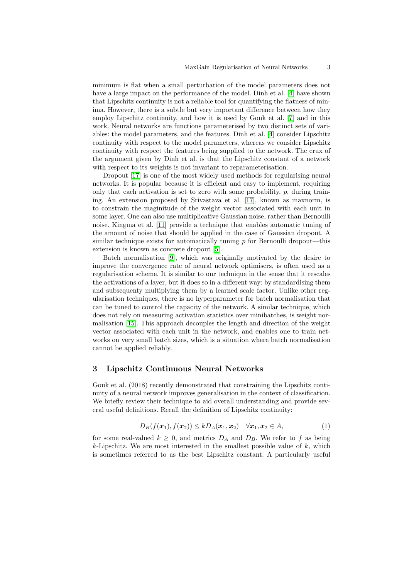minimum is flat when a small perturbation of the model parameters does not have a large impact on the performance of the model. Dinh et al. [\[4\]](#page-15-7) have shown that Lipschitz continuity is not a reliable tool for quantifying the flatness of minima. However, there is a subtle but very important difference between how they employ Lipschitz continuity, and how it is used by Gouk et al. [\[7\]](#page-15-1) and in this work. Neural networks are functions parameterised by two distinct sets of variables: the model parameters, and the features. Dinh et al. [\[4\]](#page-15-7) consider Lipschitz continuity with respect to the model parameters, whereas we consider Lipschitz continuity with respect the features being supplied to the network. The crux of the argument given by Dinh et al. is that the Lipschitz constant of a network with respect to its weights is not invariant to reparameterisation.

Dropout [\[17\]](#page-15-3) is one of the most widely used methods for regularising neural networks. It is popular because it is efficient and easy to implement, requiring only that each activation is set to zero with some probability,  $p$ , during training. An extension proposed by Srivastava et al. [\[17\]](#page-15-3), known as maxnorm, is to constrain the maginitude of the weight vector associated with each unit in some layer. One can also use multiplicative Gaussian noise, rather than Bernoulli noise. Kingma et al. [\[11\]](#page-15-8) provide a technique that enables automatic tuning of the amount of noise that should be applied in the case of Gaussian dropout. A similar technique exists for automatically tuning  $p$  for Bernoulli dropout—this extension is known as concrete dropout [\[5\]](#page-15-9).

Batch normalisation [\[9\]](#page-15-4), which was originally motivated by the desire to improve the convergence rate of neural network optimisers, is often used as a regularisation scheme. It is similar to our technique in the sense that it rescales the activations of a layer, but it does so in a different way: by standardising them and subsequenty multiplying them by a learned scale factor. Unlike other regularisation techniques, there is no hyperparameter for batch normalisation that can be tuned to control the capacity of the network. A similar technique, which does not rely on measuring activation statistics over minibatches, is weight normalisation [\[15\]](#page-15-10). This approach decouples the length and direction of the weight vector associated with each unit in the network, and enables one to train networks on very small batch sizes, which is a situation where batch normalisation cannot be applied reliably.

## 3 Lipschitz Continuous Neural Networks

Gouk et al. (2018) recently demonstrated that constraining the Lipschitz continuity of a neural network improves generalisation in the context of classification. We briefly review their technique to aid overall understanding and provide several useful definitions. Recall the definition of Lipschitz continuity:

<span id="page-2-0"></span>
$$
D_B(f(\boldsymbol{x}_1), f(\boldsymbol{x}_2)) \leq k D_A(\boldsymbol{x}_1, \boldsymbol{x}_2) \quad \forall \boldsymbol{x}_1, \boldsymbol{x}_2 \in A,
$$
\n<sup>(1)</sup>

for some real-valued  $k \geq 0$ , and metrics  $D_A$  and  $D_B$ . We refer to f as being  $k$ -Lipschitz. We are most interested in the smallest possible value of  $k$ , which is sometimes referred to as the best Lipschitz constant. A particularly useful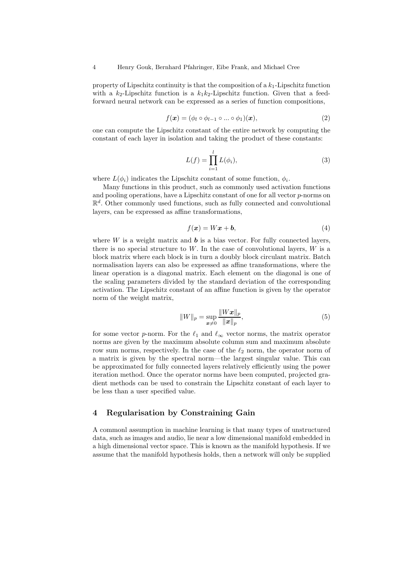property of Lipschitz continuity is that the composition of a  $k_1$ -Lipschitz function with a  $k_2$ -Lipschitz function is a  $k_1k_2$ -Lipschitz function. Given that a feedforward neural network can be expressed as a series of function compositions,

$$
f(\boldsymbol{x}) = (\phi_l \circ \phi_{l-1} \circ \dots \circ \phi_1)(\boldsymbol{x}), \tag{2}
$$

one can compute the Lipschitz constant of the entire network by computing the constant of each layer in isolation and taking the product of these constants:

$$
L(f) = \prod_{i=1}^{l} L(\phi_i),\tag{3}
$$

where  $L(\phi_i)$  indicates the Lipschitz constant of some function,  $\phi_i$ .

Many functions in this product, such as commonly used activation functions and pooling operations, have a Lipschitz constant of one for all vector p-norms on  $\mathbb{R}^d$ . Other commonly used functions, such as fully connected and convolutional layers, can be expressed as affine transformations,

$$
f(\boldsymbol{x}) = W\boldsymbol{x} + \boldsymbol{b},\tag{4}
$$

where  $W$  is a weight matrix and  $\boldsymbol{b}$  is a bias vector. For fully connected layers, there is no special structure to  $W$ . In the case of convolutional layers,  $W$  is a block matrix where each block is in turn a doubly block circulant matrix. Batch normalisation layers can also be expressed as affine transformations, where the linear operation is a diagonal matrix. Each element on the diagonal is one of the scaling parameters divided by the standard deviation of the corresponding activation. The Lipschitz constant of an affine function is given by the operator norm of the weight matrix,

<span id="page-3-0"></span>
$$
||W||_p = \sup_{\mathbf{x} \neq 0} \frac{||W\mathbf{x}||_p}{||\mathbf{x}||_p},
$$
\n(5)

for some vector p-norm. For the  $\ell_1$  and  $\ell_\infty$  vector norms, the matrix operator norms are given by the maximum absolute column sum and maximum absolute row sum norms, respectively. In the case of the  $\ell_2$  norm, the operator norm of a matrix is given by the spectral norm—the largest singular value. This can be approximated for fully connected layers relatively efficiently using the power iteration method. Once the operator norms have been computed, projected gradient methods can be used to constrain the Lipschitz constant of each layer to be less than a user specified value.

## 4 Regularisation by Constraining Gain

A commonl assumption in machine learning is that many types of unstructured data, such as images and audio, lie near a low dimensional manifold embedded in a high dimensional vector space. This is known as the manifold hypothesis. If we assume that the manifold hypothesis holds, then a network will only be supplied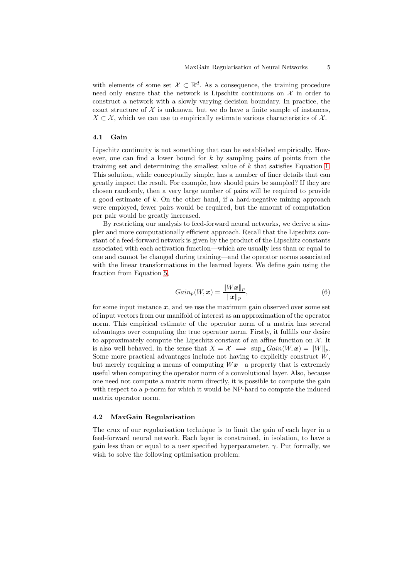with elements of some set  $\mathcal{X} \subset \mathbb{R}^d$ . As a consequence, the training procedure need only ensure that the network is Lipschitz continuous on  $\mathcal X$  in order to construct a network with a slowly varying decision boundary. In practice, the exact structure of  $\mathcal X$  is unknown, but we do have a finite sample of instances,  $X \subset \mathcal{X}$ , which we can use to empirically estimate various characteristics of  $\mathcal{X}$ .

#### 4.1 Gain

Lipschitz continuity is not something that can be established empirically. However, one can find a lower bound for  $k$  by sampling pairs of points from the training set and determining the smallest value of k that satisfies Equation [1.](#page-2-0) This solution, while conceptually simple, has a number of finer details that can greatly impact the result. For example, how should pairs be sampled? If they are chosen randomly, then a very large number of pairs will be required to provide a good estimate of  $k$ . On the other hand, if a hard-negative mining approach were employed, fewer pairs would be required, but the amount of computation per pair would be greatly increased.

By restricting our analysis to feed-forward neural networks, we derive a simpler and more computationally efficient approach. Recall that the Lipschitz constant of a feed-forward network is given by the product of the Lipschitz constants associated with each activation function—which are usually less than or equal to one and cannot be changed during training—and the operator norms associated with the linear transformations in the learned layers. We define gain using the fraction from Equation [5,](#page-3-0)

$$
Gain_p(W, \mathbf{x}) = \frac{\|W\mathbf{x}\|_p}{\|\mathbf{x}\|_p},\tag{6}
$$

for some input instance  $x$ , and we use the maximum gain observed over some set of input vectors from our manifold of interest as an approximation of the operator norm. This empirical estimate of the operator norm of a matrix has several advantages over computing the true operator norm. Firstly, it fulfills our desire to approximately compute the Lipschitz constant of an affine function on  $\mathcal{X}$ . It is also well behaved, in the sense that  $X = \mathcal{X} \implies \sup_{\mathbf{x}} Gain(W, \mathbf{x}) = ||W||_p$ . Some more practical advantages include not having to explicitly construct  $W$ , but merely requiring a means of computing  $W\mathbf{x}$ —a property that is extremely useful when computing the operator norm of a convolutional layer. Also, because one need not compute a matrix norm directly, it is possible to compute the gain with respect to a  $p$ -norm for which it would be NP-hard to compute the induced matrix operator norm.

#### 4.2 MaxGain Regularisation

The crux of our regularisation technique is to limit the gain of each layer in a feed-forward neural network. Each layer is constrained, in isolation, to have a gain less than or equal to a user specified hyperparameter,  $\gamma$ . Put formally, we wish to solve the following optimisation problem: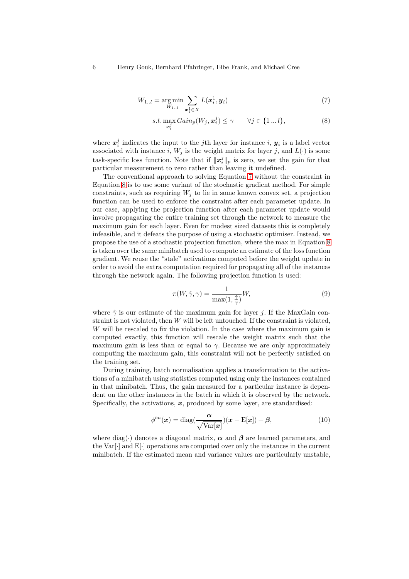6 Henry Gouk, Bernhard Pfahringer, Eibe Frank, and Michael Cree

$$
W_{1..l} = \underset{W_{1..l}}{\arg \min} \sum_{\bm{x}_i^1 \in X} L(\bm{x}_i^1, \bm{y}_i) \tag{7}
$$

<span id="page-5-1"></span><span id="page-5-0"></span>
$$
s.t. \max_{\mathbf{x}_i^j} Gain_p(W_j, \mathbf{x}_i^j) \le \gamma \qquad \forall j \in \{1 \dots l\},
$$
\n
$$
(8)
$$

where  $x_i^j$  indicates the input to the *j*th layer for instance *i*,  $y_i$  is a label vector associated with instance i,  $W_j$  is the weight matrix for layer j, and  $L(\cdot)$  is some task-specific loss function. Note that if  $||x_i^j||_p$  is zero, we set the gain for that particular measurement to zero rather than leaving it undefined.

The conventional approach to solving Equation [7](#page-5-0) without the constraint in Equation [8](#page-5-1) is to use some variant of the stochastic gradient method. For simple constraints, such as requiring  $W_j$  to lie in some known convex set, a projection function can be used to enforce the constraint after each parameter update. In our case, applying the projection function after each parameter update would involve propagating the entire training set through the network to measure the maximum gain for each layer. Even for modest sized datasets this is completely infeasible, and it defeats the purpose of using a stochastic optimiser. Instead, we propose the use of a stochastic projection function, where the max in Equation [8](#page-5-1) is taken over the same minibatch used to compute an estimate of the loss function gradient. We reuse the "stale" activations computed before the weight update in order to avoid the extra computation required for propagating all of the instances through the network again. The following projection function is used:

$$
\pi(W, \hat{\gamma}, \gamma) = \frac{1}{\max(1, \frac{\hat{\gamma}}{\gamma})} W,\tag{9}
$$

where  $\hat{\gamma}$  is our estimate of the maximum gain for layer j. If the MaxGain constraint is not violated, then W will be left untouched. If the constraint is violated, W will be rescaled to fix the violation. In the case where the maximum gain is computed exactly, this function will rescale the weight matrix such that the maximum gain is less than or equal to  $\gamma$ . Because we are only approximately computing the maximum gain, this constraint will not be perfectly satisfied on the training set.

During training, batch normalisation applies a transformation to the activations of a minibatch using statistics computed using only the instances contained in that minibatch. Thus, the gain measured for a particular instance is dependent on the other instances in the batch in which it is observed by the network. Specifically, the activations,  $x$ , produced by some layer, are standardised:

$$
\phi^{bn}(\boldsymbol{x}) = \text{diag}(\frac{\alpha}{\sqrt{\text{Var}[\boldsymbol{x}]}})(\boldsymbol{x} - \text{E}[\boldsymbol{x}]) + \beta,
$$
\n(10)

where diag(·) denotes a diagonal matrix,  $\alpha$  and  $\beta$  are learned parameters, and the Var[·] and E[·] operations are computed over only the instances in the current minibatch. If the estimated mean and variance values are particularly unstable,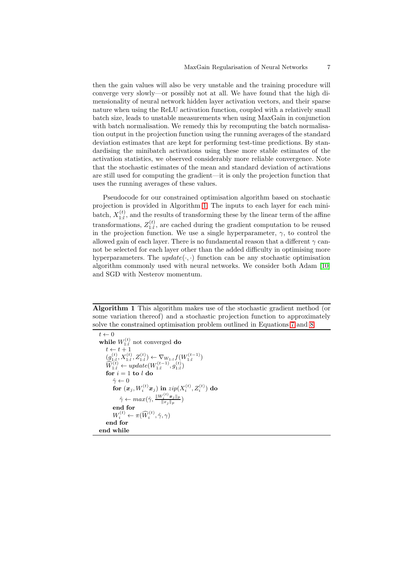then the gain values will also be very unstable and the training procedure will converge very slowly—or possibly not at all. We have found that the high dimensionality of neural network hidden layer activation vectors, and their sparse nature when using the ReLU activation function, coupled with a relatively small batch size, leads to unstable measurements when using MaxGain in conjunction with batch normalisation. We remedy this by recomputing the batch normalisation output in the projection function using the running averages of the standard deviation estimates that are kept for performing test-time predictions. By standardising the minibatch activations using these more stable estimates of the activation statistics, we observed considerably more reliable convergence. Note that the stochastic estimates of the mean and standard deviation of activations are still used for computing the gradient—it is only the projection function that uses the running averages of these values.

Pseudocode for our constrained optimisation algorithm based on stochastic projection is provided in Algorithm [1.](#page-6-0) The inputs to each layer for each minibatch,  $X_{1\cdot l}^{(t)}$  $1:1/1$ , and the results of transforming these by the linear term of the affine transformations,  $Z_{1:l}^{(t)}$  $1:1$ , are cached during the gradient computation to be reused in the projection function. We use a single hyperparameter,  $\gamma$ , to control the allowed gain of each layer. There is no fundamental reason that a different  $\gamma$  cannot be selected for each layer other than the added difficulty in optimising more hyperparameters. The  $update(\cdot, \cdot)$  function can be any stochastic optimisation algorithm commonly used with neural networks. We consider both Adam [\[10\]](#page-15-11) and SGD with Nesterov momentum.

<span id="page-6-0"></span>Algorithm 1 This algorithm makes use of the stochastic gradient method (or some variation thereof) and a stochastic projection function to approximately solve the constrained optimisation problem outlined in Equations [7](#page-5-0) and [8.](#page-5-1)

```
t \leftarrow 0while W_{1:l}^{(t)} not converged do
     t \leftarrow t + 1(g_{1:l}^{(t)}, X_{1:l}^{(t)}, Z_{1:l}^{(t)}) \leftarrow \nabla_{W_{1:l}} f(W_{1:l}^{(t-1)})\widetilde{W}_{1:l}^{(t)} \leftarrow update(W_{1:l}^{(t-1)}, g_{1:l}^{(t)})for i = 1 to l do
            \hat{\gamma} \leftarrow 0for (\boldsymbol{x}_j, W_i^{(t)}\boldsymbol{x}_j) in zip(X_i^{(t)}, Z_i^{(t)}) do
                  \hat{\gamma} \leftarrow max(\hat{\gamma}, \frac{\|W_i^{(t)}\boldsymbol{x}_j\|_p}{\|\boldsymbol{x}_i\|_p})\frac{\sum_{j||p}{||x_j||_p}}{\|x_j\|_p}end for
            W_i^{(t)} \leftarrow \pi(\widehat{W}_i^{(t)}, \hat{\gamma}, \gamma)end for
end while
```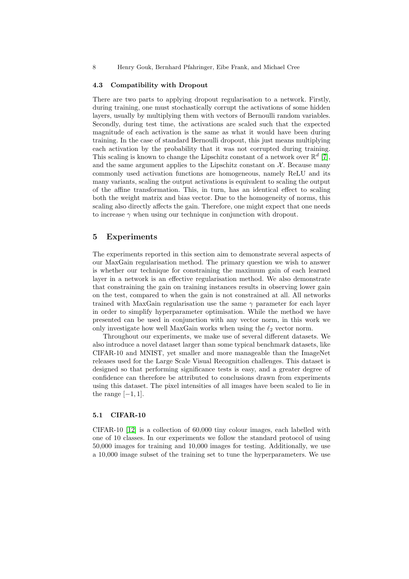8 Henry Gouk, Bernhard Pfahringer, Eibe Frank, and Michael Cree

#### 4.3 Compatibility with Dropout

There are two parts to applying dropout regularisation to a network. Firstly, during training, one must stochastically corrupt the activations of some hidden layers, usually by multiplying them with vectors of Bernoulli random variables. Secondly, during test time, the activations are scaled such that the expected magnitude of each activation is the same as what it would have been during training. In the case of standard Bernoulli dropout, this just means multiplying each activation by the probability that it was not corrupted during training. This scaling is known to change the Lipschitz constant of a network over  $\mathbb{R}^d$  [\[7\]](#page-15-1), and the same argument applies to the Lipschitz constant on  $X$ . Because many commonly used activation functions are homogeneous, namely ReLU and its many variants, scaling the output activations is equivalent to scaling the output of the affine transformation. This, in turn, has an identical effect to scaling both the weight matrix and bias vector. Due to the homogeneity of norms, this scaling also directly affects the gain. Therefore, one might expect that one needs to increase  $\gamma$  when using our technique in conjunction with dropout.

## 5 Experiments

The experiments reported in this section aim to demonstrate several aspects of our MaxGain regularisation method. The primary question we wish to answer is whether our technique for constraining the maximum gain of each learned layer in a network is an effective regularisation method. We also demonstrate that constraining the gain on training instances results in observing lower gain on the test, compared to when the gain is not constrained at all. All networks trained with MaxGain regularisation use the same  $\gamma$  parameter for each layer in order to simplify hyperparameter optimisation. While the method we have presented can be used in conjunction with any vector norm, in this work we only investigate how well MaxGain works when using the  $\ell_2$  vector norm.

Throughout our experiments, we make use of several different datasets. We also introduce a novel dataset larger than some typical benchmark datasets, like CIFAR-10 and MNIST, yet smaller and more manageable than the ImageNet releases used for the Large Scale Visual Recognition challenges. This dataset is designed so that performing significance tests is easy, and a greater degree of confidence can therefore be attributed to conclusions drawn from experiments using this dataset. The pixel intensities of all images have been scaled to lie in the range  $[-1, 1]$ .

#### 5.1 CIFAR-10

CIFAR-10 [\[12\]](#page-15-12) is a collection of 60,000 tiny colour images, each labelled with one of 10 classes. In our experiments we follow the standard protocol of using 50,000 images for training and 10,000 images for testing. Additionally, we use a 10,000 image subset of the training set to tune the hyperparameters. We use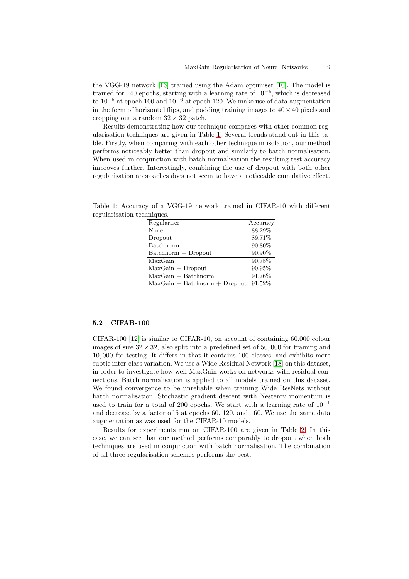the VGG-19 network [\[16\]](#page-15-13) trained using the Adam optimiser [\[10\]](#page-15-11). The model is trained for 140 epochs, starting with a learning rate of 10−<sup>4</sup> , which is decreased to  $10^{-5}$  at epoch  $100$  and  $10^{-6}$  at epoch 120. We make use of data augmentation in the form of horizontal flips, and padding training images to  $40 \times 40$  pixels and cropping out a random  $32 \times 32$  patch.

Results demonstrating how our technique compares with other common regularisation techniques are given in Table [1.](#page-8-0) Several trends stand out in this table. Firstly, when comparing with each other technique in isolation, our method performs noticeably better than dropout and similarly to batch normalisation. When used in conjunction with batch normalisation the resulting test accuracy improves further. Interestingly, combining the use of dropout with both other regularisation approaches does not seem to have a noticeable cumulative effect.

<span id="page-8-0"></span>Table 1: Accuracy of a VGG-19 network trained in CIFAR-10 with different regularisation techniques.

| Regulariser                     | Accuracy  |
|---------------------------------|-----------|
| None                            | 88.29%    |
| Dropout                         | 89.71%    |
| Batchnorm                       | 90.80%    |
| $Batchnorm + Dropout$           | 90.90%    |
| MaxGain                         | 90.75%    |
| $MaxGain + Dropout$             | $90.95\%$ |
| $MaxGain + Batchnorm$           | 91.76%    |
| $MaxGain + Batchnorm + Dropout$ | 91.52%    |

## 5.2 CIFAR-100

CIFAR-100 [\[12\]](#page-15-12) is similar to CIFAR-10, on account of containing 60,000 colour images of size  $32 \times 32$ , also split into a predefined set of 50,000 for training and 10, 000 for testing. It differs in that it contains 100 classes, and exhibits more subtle inter-class variation. We use a Wide Residual Network [\[18\]](#page-15-14) on this dataset, in order to investigate how well MaxGain works on networks with residual connections. Batch normalisation is applied to all models trained on this dataset. We found convergence to be unreliable when training Wide ResNets without batch normalisation. Stochastic gradient descent with Nesterov momentum is used to train for a total of 200 epochs. We start with a learning rate of 10<sup>−</sup><sup>1</sup> and decrease by a factor of 5 at epochs 60, 120, and 160. We use the same data augmentation as was used for the CIFAR-10 models.

Results for experiments run on CIFAR-100 are given in Table [2.](#page-9-0) In this case, we can see that our method performs comparably to dropout when both techniques are used in conjunction with batch normalisation. The combination of all three regularisation schemes performs the best.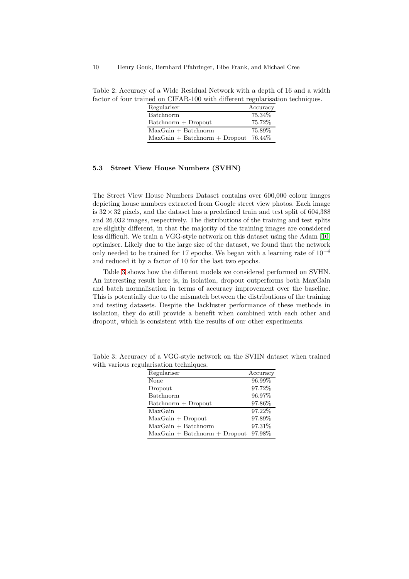<span id="page-9-0"></span>Table 2: Accuracy of a Wide Residual Network with a depth of 16 and a width factor of four trained on CIFAR-100 with different regularisation techniques.

| Regulariser                     | Accuracy  |
|---------------------------------|-----------|
| Batchnorm                       | 75.34%    |
| $Batchnorm + Dropout$           | 75.72%    |
| $MaxGain + Batchnorm$           | 75.89%    |
| $MaxGain + Batchnorm + Dropout$ | $76.44\%$ |

#### 5.3 Street View House Numbers (SVHN)

The Street View House Numbers Dataset contains over 600,000 colour images depicting house numbers extracted from Google street view photos. Each image is  $32 \times 32$  pixels, and the dataset has a predefined train and test split of 604,388 and 26,032 images, respectively. The distributions of the training and test splits are slightly different, in that the majority of the training images are considered less difficult. We train a VGG-style network on this dataset using the Adam [\[10\]](#page-15-11) optimiser. Likely due to the large size of the dataset, we found that the network only needed to be trained for 17 epochs. We began with a learning rate of  $10^{-4}$ and reduced it by a factor of 10 for the last two epochs.

Table [3](#page-9-1) shows how the different models we considered performed on SVHN. An interesting result here is, in isolation, dropout outperforms both MaxGain and batch normalisation in terms of accuracy improvement over the baseline. This is potentially due to the mismatch between the distributions of the training and testing datasets. Despite the lackluster performance of these methods in isolation, they do still provide a benefit when combined with each other and dropout, which is consistent with the results of our other experiments.

| Regulariser                     | Accuracy |
|---------------------------------|----------|
| None                            | 96.99%   |
| Dropout                         | 97.72%   |
| Batchnorm                       | 96.97%   |
| $Batchnorm + Dropout$           | 97.86%   |
| MaxGain                         | 97.22%   |
| $MaxGain + Dropout$             | 97.89%   |
| $MaxGain + Batchnorm$           | 97.31%   |
| $MaxGain + Batchnorm + Dropout$ | 97.98%   |

<span id="page-9-1"></span>Table 3: Accuracy of a VGG-style network on the SVHN dataset when trained with various regularisation techniques.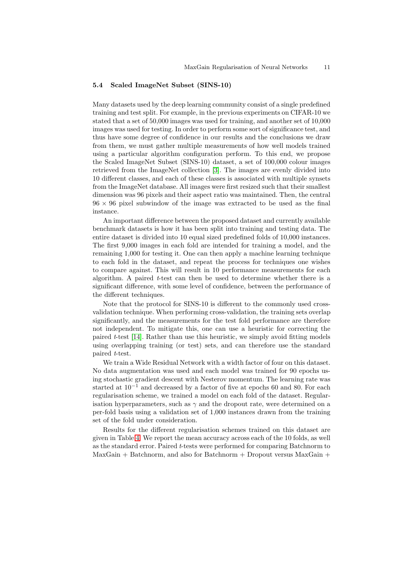#### 5.4 Scaled ImageNet Subset (SINS-10)

Many datasets used by the deep learning community consist of a single predefined training and test split. For example, in the previous experiments on CIFAR-10 we stated that a set of 50,000 images was used for training, and another set of 10,000 images was used for testing. In order to perform some sort of significance test, and thus have some degree of confidence in our results and the conclusions we draw from them, we must gather multiple measurements of how well models trained using a particular algorithm configuration perform. To this end, we propose the Scaled ImageNet Subset (SINS-10) dataset, a set of 100,000 colour images retrieved from the ImageNet collection [\[3\]](#page-14-2). The images are evenly divided into 10 different classes, and each of these classes is associated with multiple synsets from the ImageNet database. All images were first resized such that their smallest dimension was 96 pixels and their aspect ratio was maintained. Then, the central  $96 \times 96$  pixel subwindow of the image was extracted to be used as the final instance.

An important difference between the proposed dataset and currently available benchmark datasets is how it has been split into training and testing data. The entire dataset is divided into 10 equal sized predefined folds of 10,000 instances. The first 9,000 images in each fold are intended for training a model, and the remaining 1,000 for testing it. One can then apply a machine learning technique to each fold in the dataset, and repeat the process for techniques one wishes to compare against. This will result in 10 performance measurements for each algorithm. A paired  $t$ -test can then be used to determine whether there is a significant difference, with some level of confidence, between the performance of the different techniques.

Note that the protocol for SINS-10 is different to the commonly used crossvalidation technique. When performing cross-validation, the training sets overlap significantly, and the measurements for the test fold performance are therefore not independent. To mitigate this, one can use a heuristic for correcting the paired  $t$ -test [\[14\]](#page-15-15). Rather than use this heuristic, we simply avoid fitting models using overlapping training (or test) sets, and can therefore use the standard paired t-test.

We train a Wide Residual Network with a width factor of four on this dataset. No data augmentation was used and each model was trained for 90 epochs using stochastic gradient descent with Nesterov momentum. The learning rate was started at  $10^{-1}$  and decreased by a factor of five at epochs 60 and 80. For each regularisation scheme, we trained a model on each fold of the dataset. Regularisation hyperparameters, such as  $\gamma$  and the dropout rate, were determined on a per-fold basis using a validation set of 1,000 instances drawn from the training set of the fold under consideration.

Results for the different regularisation schemes trained on this dataset are given in Table [4.](#page-11-0) We report the mean accuracy across each of the 10 folds, as well as the standard error. Paired *t*-tests were performed for comparing Batchnorm to  $MaxGain + Batchnorm$ , and also for Batchnorm + Dropout versus  $MaxGain +$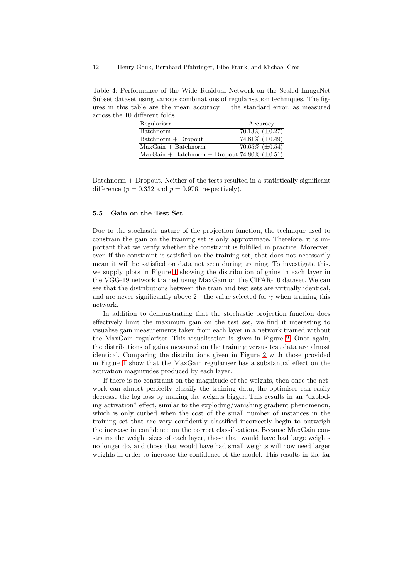<span id="page-11-0"></span>Table 4: Performance of the Wide Residual Network on the Scaled ImageNet Subset dataset using various combinations of regularisation techniques. The figures in this table are the mean accuracy  $\pm$  the standard error, as measured across the 10 different folds.

| Regulariser                                        | Accuracy             |
|----------------------------------------------------|----------------------|
| Batchnorm                                          | $70.13\%~(\pm 0.27)$ |
| $Batchnorm + Dropout$                              | 74.81% (±0.49)       |
| $MaxGain + Batchnorm$                              | $70.65\%~(\pm 0.54)$ |
| $MaxGain + Batchnorm + Dropout 74.80\% (\pm 0.51)$ |                      |

Batchnorm + Dropout. Neither of the tests resulted in a statistically significant difference  $(p = 0.332$  and  $p = 0.976$ , respectively).

#### 5.5 Gain on the Test Set

Due to the stochastic nature of the projection function, the technique used to constrain the gain on the training set is only approximate. Therefore, it is important that we verify whether the constraint is fulfilled in practice. Moreover, even if the constraint is satisfied on the training set, that does not necessarily mean it will be satisfied on data not seen during training. To investigate this, we supply plots in Figure [1](#page-12-0) showing the distribution of gains in each layer in the VGG-19 network trained using MaxGain on the CIFAR-10 dataset. We can see that the distributions between the train and test sets are virtually identical, and are never significantly above 2—the value selected for  $\gamma$  when training this network.

In addition to demonstrating that the stochastic projection function does effectively limit the maximum gain on the test set, we find it interesting to visualise gain measurements taken from each layer in a network trained without the MaxGain regulariser. This visualisation is given in Figure [2.](#page-13-0) Once again, the distributions of gains measured on the training versus test data are almost identical. Comparing the distributions given in Figure [2](#page-13-0) with those provided in Figure [1](#page-12-0) show that the MaxGain regulariser has a substantial effect on the activation magnitudes produced by each layer.

If there is no constraint on the magnitude of the weights, then once the network can almost perfectly classify the training data, the optimiser can easily decrease the log loss by making the weights bigger. This results in an "exploding activation" effect, similar to the exploding/vanishing gradient phenomenon, which is only curbed when the cost of the small number of instances in the training set that are very confidently classified incorrectly begin to outweigh the increase in confidence on the correct classifications. Because MaxGain constrains the weight sizes of each layer, those that would have had large weights no longer do, and those that would have had small weights will now need larger weights in order to increase the confidence of the model. This results in the far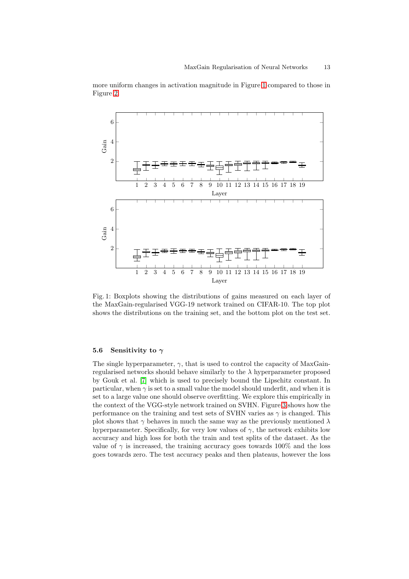<span id="page-12-0"></span>

more uniform changes in activation magnitude in Figure [1](#page-12-0) compared to those in Figure [2.](#page-13-0)

Fig. 1: Boxplots showing the distributions of gains measured on each layer of the MaxGain-regularised VGG-19 network trained on CIFAR-10. The top plot shows the distributions on the training set, and the bottom plot on the test set.

### 5.6 Sensitivity to  $\gamma$

The single hyperparameter,  $\gamma$ , that is used to control the capacity of MaxGainregularised networks should behave similarly to the  $\lambda$  hyperparameter proposed by Gouk et al. [\[7\]](#page-15-1) which is used to precisely bound the Lipschitz constant. In particular, when  $\gamma$  is set to a small value the model should underfit, and when it is set to a large value one should observe overfitting. We explore this empirically in the context of the VGG-style network trained on SVHN. Figure [3](#page-14-3) shows how the performance on the training and test sets of SVHN varies as  $\gamma$  is changed. This plot shows that  $\gamma$  behaves in much the same way as the previously mentioned  $\lambda$ hyperparameter. Specifically, for very low values of  $\gamma$ , the network exhibits low accuracy and high loss for both the train and test splits of the dataset. As the value of  $\gamma$  is increased, the training accuracy goes towards 100% and the loss goes towards zero. The test accuracy peaks and then plateaus, however the loss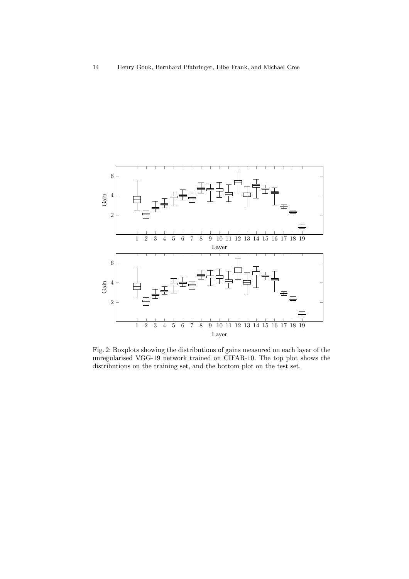<span id="page-13-0"></span>

Fig. 2: Boxplots showing the distributions of gains measured on each layer of the unregularised VGG-19 network trained on CIFAR-10. The top plot shows the distributions on the training set, and the bottom plot on the test set.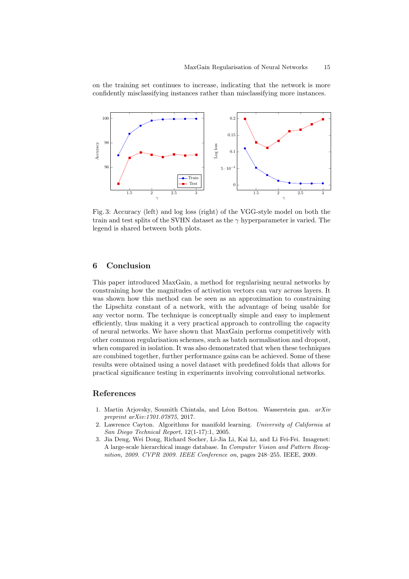on the training set continues to increase, indicating that the network is more confidently misclassifying instances rather than misclassifying more instances.

<span id="page-14-3"></span>

Fig. 3: Accuracy (left) and log loss (right) of the VGG-style model on both the train and test splits of the SVHN dataset as the  $\gamma$  hyperparameter is varied. The legend is shared between both plots.

## 6 Conclusion

This paper introduced MaxGain, a method for regularising neural networks by constraining how the magnitudes of activation vectors can vary across layers. It was shown how this method can be seen as an approximation to constraining the Lipschitz constant of a network, with the advantage of being usable for any vector norm. The technique is conceptually simple and easy to implement efficiently, thus making it a very practical approach to controlling the capacity of neural networks. We have shown that MaxGain performs competitively with other common regularisation schemes, such as batch normalisation and dropout, when compared in isolation. It was also demonstrated that when these techniques are combined together, further performance gains can be achieved. Some of these results were obtained using a novel dataset with predefined folds that allows for practical significance testing in experiments involving convolutional networks.

## References

- <span id="page-14-1"></span>1. Martin Arjovsky, Soumith Chintala, and Léon Bottou. Wasserstein gan. *arXiv preprint arXiv:1701.07875*, 2017.
- <span id="page-14-0"></span>2. Lawrence Cayton. Algorithms for manifold learning. *University of California at San Diego Technical Report*, 12(1-17):1, 2005.
- <span id="page-14-2"></span>3. Jia Deng, Wei Dong, Richard Socher, Li-Jia Li, Kai Li, and Li Fei-Fei. Imagenet: A large-scale hierarchical image database. In *Computer Vision and Pattern Recognition, 2009. CVPR 2009. IEEE Conference on*, pages 248–255. IEEE, 2009.